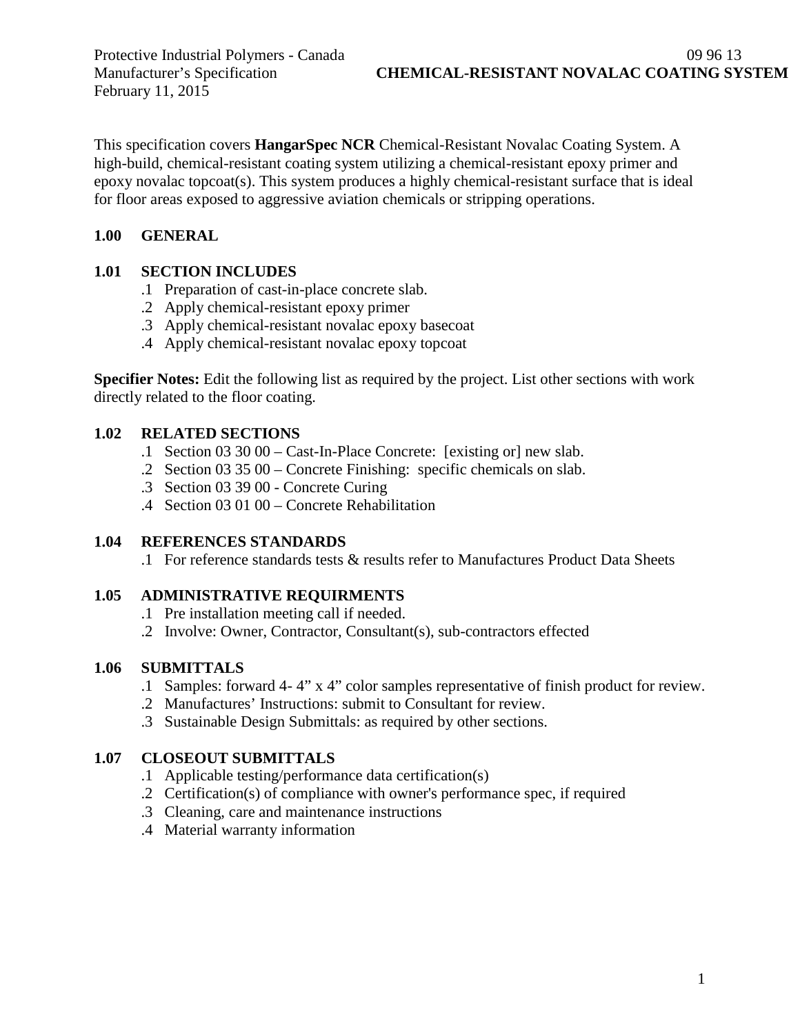February 11, 2015

This specification covers **HangarSpec NCR** Chemical-Resistant Novalac Coating System. A high-build, chemical-resistant coating system utilizing a chemical-resistant epoxy primer and epoxy novalac topcoat(s). This system produces a highly chemical-resistant surface that is ideal for floor areas exposed to aggressive aviation chemicals or stripping operations.

## **1.00 GENERAL**

## **1.01 SECTION INCLUDES**

- .1 Preparation of cast-in-place concrete slab.
- .2 Apply chemical-resistant epoxy primer
- .3 Apply chemical-resistant novalac epoxy basecoat
- .4 Apply chemical-resistant novalac epoxy topcoat

**Specifier Notes:** Edit the following list as required by the project. List other sections with work directly related to the floor coating.

## **1.02 RELATED SECTIONS**

- .1 Section 03 30 00 Cast-In-Place Concrete: [existing or] new slab.
- .2 Section 03 35 00 Concrete Finishing: specific chemicals on slab.
- .3 Section 03 39 00 Concrete Curing
- .4 Section 03 01 00 Concrete Rehabilitation

## **1.04 REFERENCES STANDARDS**

.1 For reference standards tests & results refer to Manufactures Product Data Sheets

# **1.05 ADMINISTRATIVE REQUIRMENTS**

- .1 Pre installation meeting call if needed.
- .2 Involve: Owner, Contractor, Consultant(s), sub-contractors effected

# **1.06 SUBMITTALS**

- .1 Samples: forward 4- 4" x 4" color samples representative of finish product for review.
- .2 Manufactures' Instructions: submit to Consultant for review.
- .3 Sustainable Design Submittals: as required by other sections.

# **1.07 CLOSEOUT SUBMITTALS**

- .1 Applicable testing/performance data certification(s)
- .2 Certification(s) of compliance with owner's performance spec, if required
- .3 Cleaning, care and maintenance instructions
- .4 Material warranty information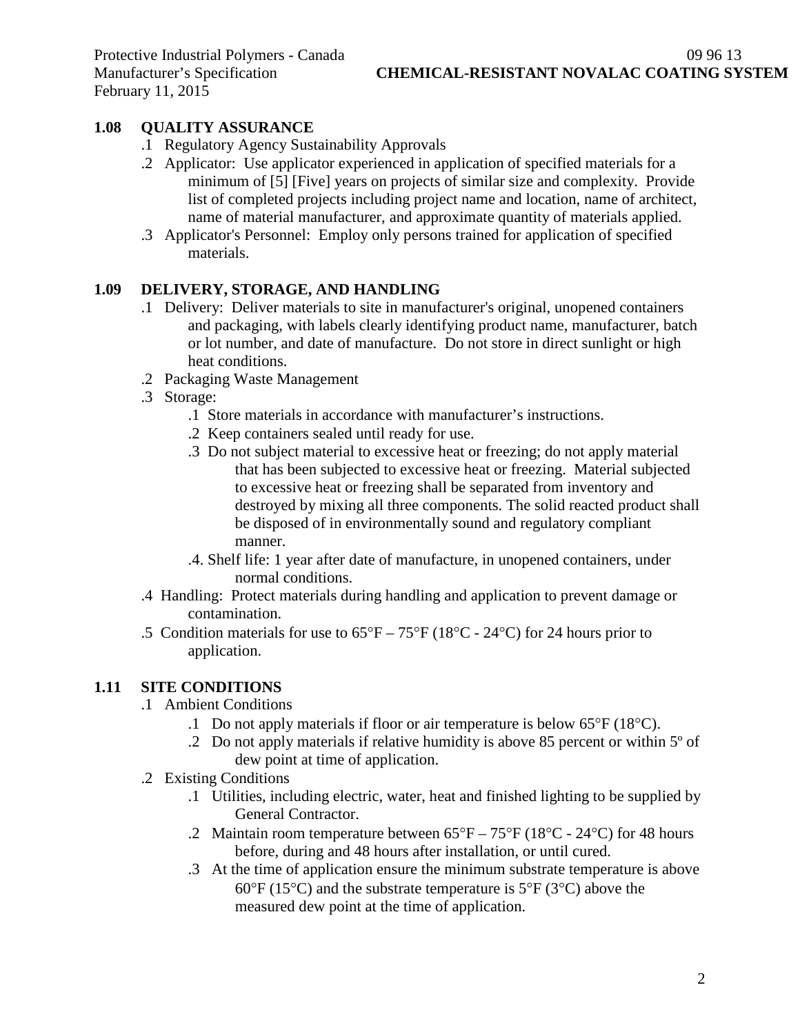## **1.08 QUALITY ASSURANCE**

- .1 Regulatory Agency Sustainability Approvals
- .2 Applicator: Use applicator experienced in application of specified materials for a minimum of [5] [Five] years on projects of similar size and complexity. Provide list of completed projects including project name and location, name of architect, name of material manufacturer, and approximate quantity of materials applied.
- .3 Applicator's Personnel: Employ only persons trained for application of specified materials.

## **1.09 DELIVERY, STORAGE, AND HANDLING**

- .1 Delivery: Deliver materials to site in manufacturer's original, unopened containers and packaging, with labels clearly identifying product name, manufacturer, batch or lot number, and date of manufacture. Do not store in direct sunlight or high heat conditions.
- .2 Packaging Waste Management
- .3 Storage:
	- .1 Store materials in accordance with manufacturer's instructions.
	- .2 Keep containers sealed until ready for use.
	- .3 Do not subject material to excessive heat or freezing; do not apply material that has been subjected to excessive heat or freezing. Material subjected to excessive heat or freezing shall be separated from inventory and destroyed by mixing all three components. The solid reacted product shall be disposed of in environmentally sound and regulatory compliant manner.
	- .4. Shelf life: 1 year after date of manufacture, in unopened containers, under normal conditions.
- .4 Handling: Protect materials during handling and application to prevent damage or contamination.
- .5 Condition materials for use to  $65^{\circ}F 75^{\circ}F (18^{\circ}C 24^{\circ}C)$  for 24 hours prior to application.

#### **1.11 SITE CONDITIONS**

- .1 Ambient Conditions
	- .1 Do not apply materials if floor or air temperature is below 65°F (18°C).
	- .2 Do not apply materials if relative humidity is above 85 percent or within 5º of dew point at time of application.
- .2 Existing Conditions
	- .1 Utilities, including electric, water, heat and finished lighting to be supplied by General Contractor.
	- .2 Maintain room temperature between  $65^{\circ}F 75^{\circ}F (18^{\circ}C 24^{\circ}C)$  for 48 hours before, during and 48 hours after installation, or until cured.
	- .3 At the time of application ensure the minimum substrate temperature is above  $60^{\circ}$ F (15<sup>o</sup>C) and the substrate temperature is 5<sup>o</sup>F (3<sup>o</sup>C) above the measured dew point at the time of application.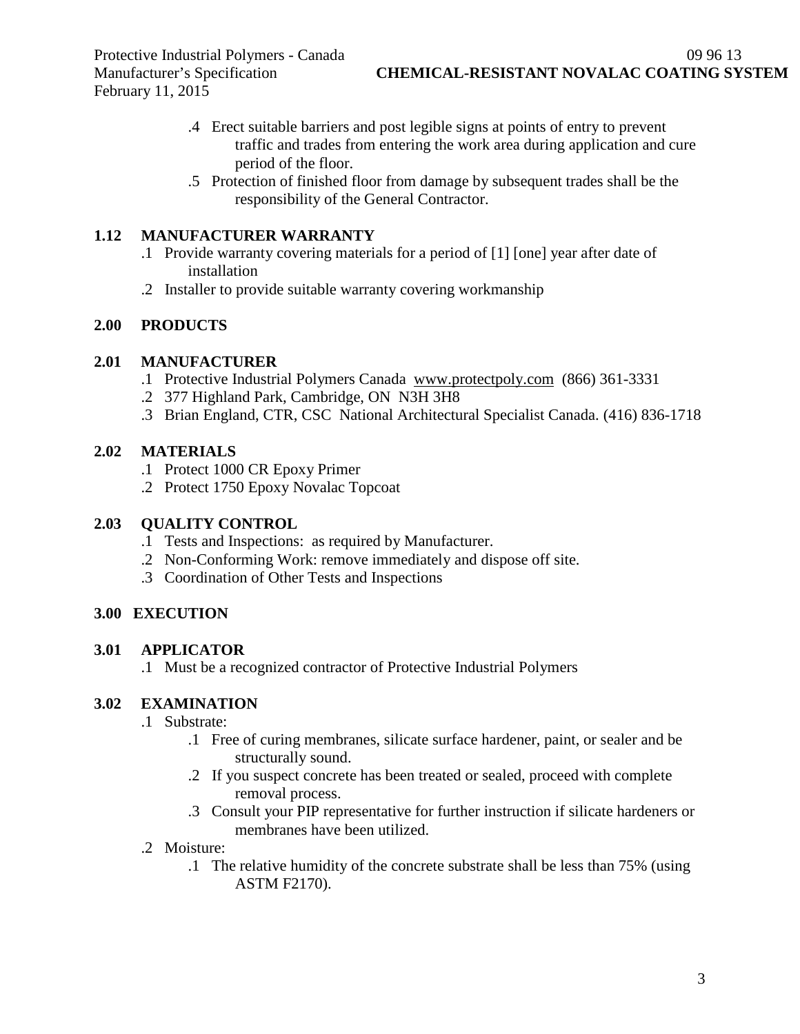Protective Industrial Polymers - Canada 09 96 13 February 11, 2015

- .4 Erect suitable barriers and post legible signs at points of entry to prevent traffic and trades from entering the work area during application and cure period of the floor.
- .5 Protection of finished floor from damage by subsequent trades shall be the responsibility of the General Contractor.

## **1.12 MANUFACTURER WARRANTY**

- .1 Provide warranty covering materials for a period of [1] [one] year after date of installation
- .2 Installer to provide suitable warranty covering workmanship

## **2.00 PRODUCTS**

## **2.01 MANUFACTURER**

- .1 Protective Industrial Polymers Canada [www.protectpoly.com](http://www.protectpoly.com/) (866) 361-3331
- .2 377 Highland Park, Cambridge, ON N3H 3H8
- .3 Brian England, CTR, CSC National Architectural Specialist Canada. (416) 836-1718

## **2.02 MATERIALS**

- .1 Protect 1000 CR Epoxy Primer
- .2 Protect 1750 Epoxy Novalac Topcoat

## **2.03 QUALITY CONTROL**

- .1 Tests and Inspections: as required by Manufacturer.
- .2 Non-Conforming Work: remove immediately and dispose off site.
- .3 Coordination of Other Tests and Inspections

# **3.00 EXECUTION**

# **3.01 APPLICATOR**

.1 Must be a recognized contractor of Protective Industrial Polymers

# **3.02 EXAMINATION**

- .1 Substrate:
	- .1 Free of curing membranes, silicate surface hardener, paint, or sealer and be structurally sound.
	- .2 If you suspect concrete has been treated or sealed, proceed with complete removal process.
	- .3 Consult your PIP representative for further instruction if silicate hardeners or membranes have been utilized.
- .2 Moisture:
	- .1 The relative humidity of the concrete substrate shall be less than 75% (using ASTM F2170).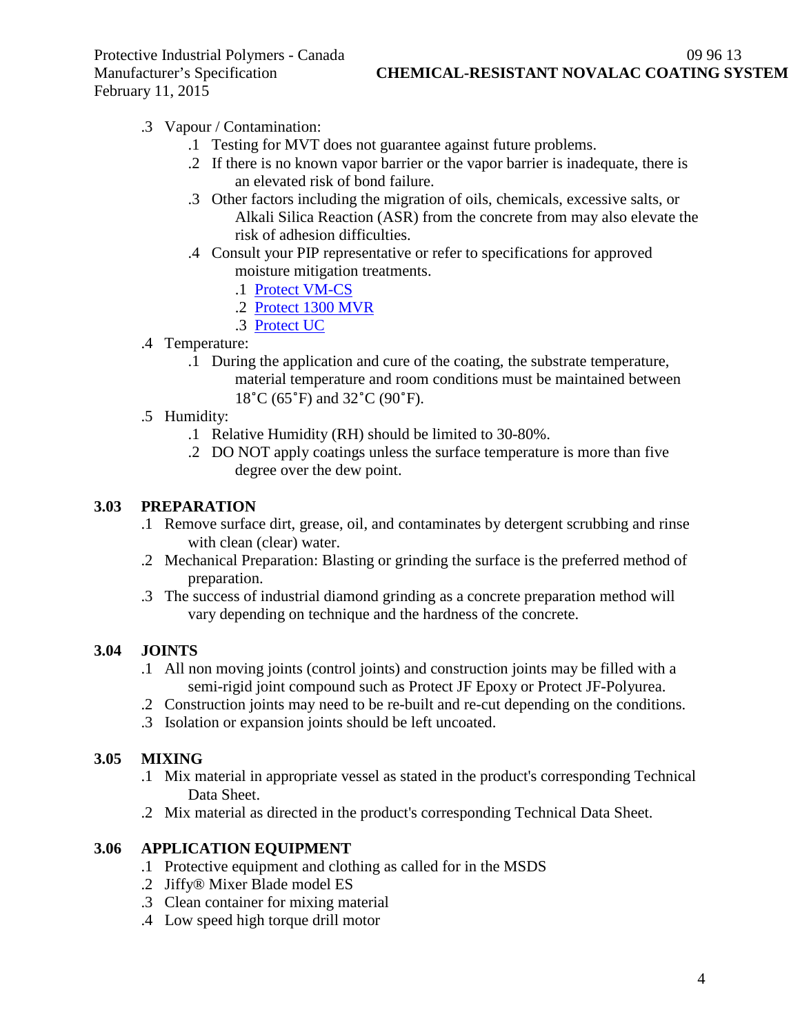Protective Industrial Polymers - Canada 09 96 13 February 11, 2015

Manufacturer's Specification **CHEMICAL-RESISTANT NOVALAC COATING SYSTEM**

- .3 Vapour / Contamination:
	- .1 Testing for MVT does not guarantee against future problems.
	- .2 If there is no known vapor barrier or the vapor barrier is inadequate, there is an elevated risk of bond failure.
	- .3 Other factors including the migration of oils, chemicals, excessive salts, or Alkali Silica Reaction (ASR) from the concrete from may also elevate the risk of adhesion difficulties.
	- .4 Consult your PIP representative or refer to specifications for approved moisture mitigation treatments.
		- .1 [Protect VM-CS](http://www.protectiveindustrialpolymers.com/Upload/Canadian%20Specs/Moisture%20Mitigation%20Spec%20-%20VM-CS%20(CANADIAN).pdf)
		- .2 [Protect 1300 MVR](http://www.protectiveindustrialpolymers.com/Upload/Canadian%20Specs/Moisture%20Mitigation%20Spec%20-%201300MVR%20(CANADIAN).pdf)
		- .3 [Protect UC](http://www.protectiveindustrialpolymers.com/Upload/Canadian%20Specs/Moisture%20Mitigation%20Spec%20-%20UC%20(CANADIAN).pdf)
- .4 Temperature:
	- .1 During the application and cure of the coating, the substrate temperature, material temperature and room conditions must be maintained between 18˚C (65˚F) and 32˚C (90˚F).
- .5 Humidity:
	- .1 Relative Humidity (RH) should be limited to 30-80%.
	- .2 DO NOT apply coatings unless the surface temperature is more than five degree over the dew point.

#### **3.03 PREPARATION**

- .1 Remove surface dirt, grease, oil, and contaminates by detergent scrubbing and rinse with clean (clear) water.
- .2 Mechanical Preparation: Blasting or grinding the surface is the preferred method of preparation.
- .3 The success of industrial diamond grinding as a concrete preparation method will vary depending on technique and the hardness of the concrete.

#### **3.04 JOINTS**

- .1 All non moving joints (control joints) and construction joints may be filled with a semi-rigid joint compound such as Protect JF Epoxy or Protect JF-Polyurea.
- .2 Construction joints may need to be re-built and re-cut depending on the conditions.
- .3 Isolation or expansion joints should be left uncoated.

#### **3.05 MIXING**

- .1 Mix material in appropriate vessel as stated in the product's corresponding Technical Data Sheet.
- .2 Mix material as directed in the product's corresponding Technical Data Sheet.

#### **3.06 APPLICATION EQUIPMENT**

- .1 Protective equipment and clothing as called for in the MSDS
- .2 Jiffy® Mixer Blade model ES
- .3 Clean container for mixing material
- .4 Low speed high torque drill motor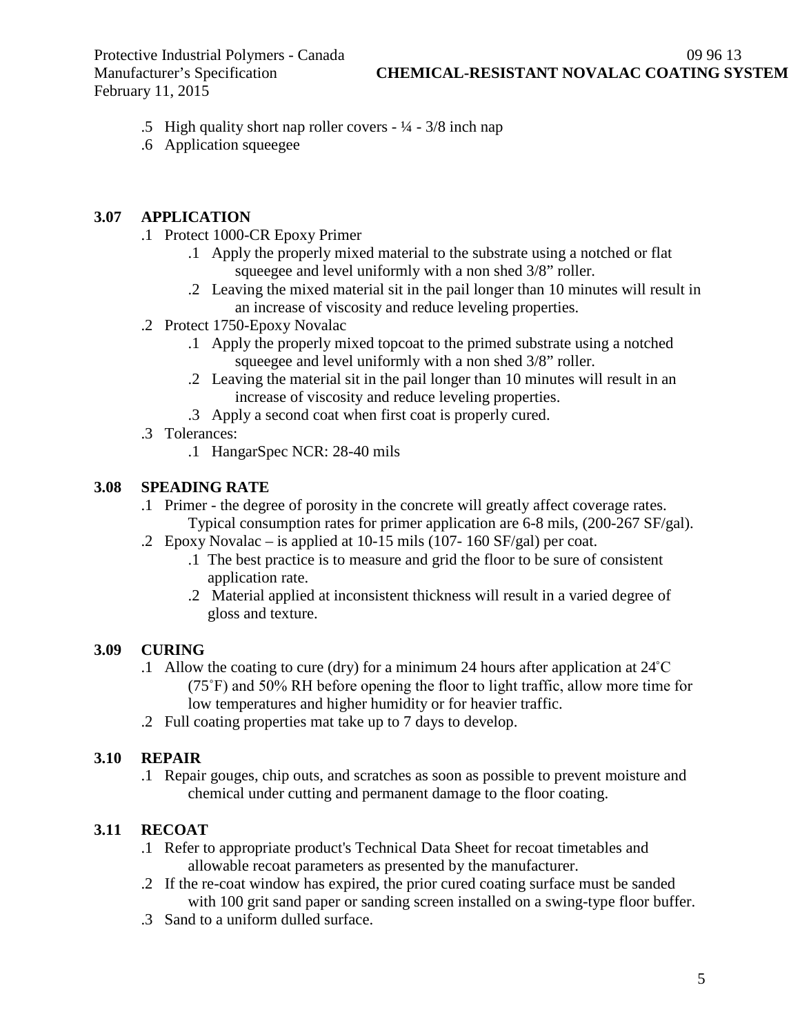Protective Industrial Polymers - Canada (1996)<br>
Manufacturer's Specification **CHEMICAL-RESISTANT NOVALAC COATING SY** February 11, 2015

- .5 High quality short nap roller covers ¼ 3/8 inch nap
- .6 Application squeegee

### **3.07 APPLICATION**

- .1 Protect 1000-CR Epoxy Primer
	- .1 Apply the properly mixed material to the substrate using a notched or flat squeegee and level uniformly with a non shed 3/8" roller.
	- .2 Leaving the mixed material sit in the pail longer than 10 minutes will result in an increase of viscosity and reduce leveling properties.
- .2 Protect 1750-Epoxy Novalac
	- .1 Apply the properly mixed topcoat to the primed substrate using a notched squeegee and level uniformly with a non shed 3/8" roller.
	- .2 Leaving the material sit in the pail longer than 10 minutes will result in an increase of viscosity and reduce leveling properties.
	- .3 Apply a second coat when first coat is properly cured.
- .3 Tolerances:
	- .1 HangarSpec NCR: 28-40 mils

### **3.08 SPEADING RATE**

- .1 Primer the degree of porosity in the concrete will greatly affect coverage rates. Typical consumption rates for primer application are 6-8 mils, (200-267 SF/gal).
- .2 Epoxy Novalac is applied at 10-15 mils (107- 160 SF/gal) per coat.
	- .1 The best practice is to measure and grid the floor to be sure of consistent application rate.
	- .2 Material applied at inconsistent thickness will result in a varied degree of gloss and texture.

## **3.09 CURING**

- .1 Allow the coating to cure (dry) for a minimum 24 hours after application at 24˚C (75˚F) and 50% RH before opening the floor to light traffic, allow more time for low temperatures and higher humidity or for heavier traffic.
- .2 Full coating properties mat take up to 7 days to develop.

## **3.10 REPAIR**

.1 Repair gouges, chip outs, and scratches as soon as possible to prevent moisture and chemical under cutting and permanent damage to the floor coating.

## **3.11 RECOAT**

- .1 Refer to appropriate product's Technical Data Sheet for recoat timetables and allowable recoat parameters as presented by the manufacturer.
- .2 If the re-coat window has expired, the prior cured coating surface must be sanded with 100 grit sand paper or sanding screen installed on a swing-type floor buffer.
- .3 Sand to a uniform dulled surface.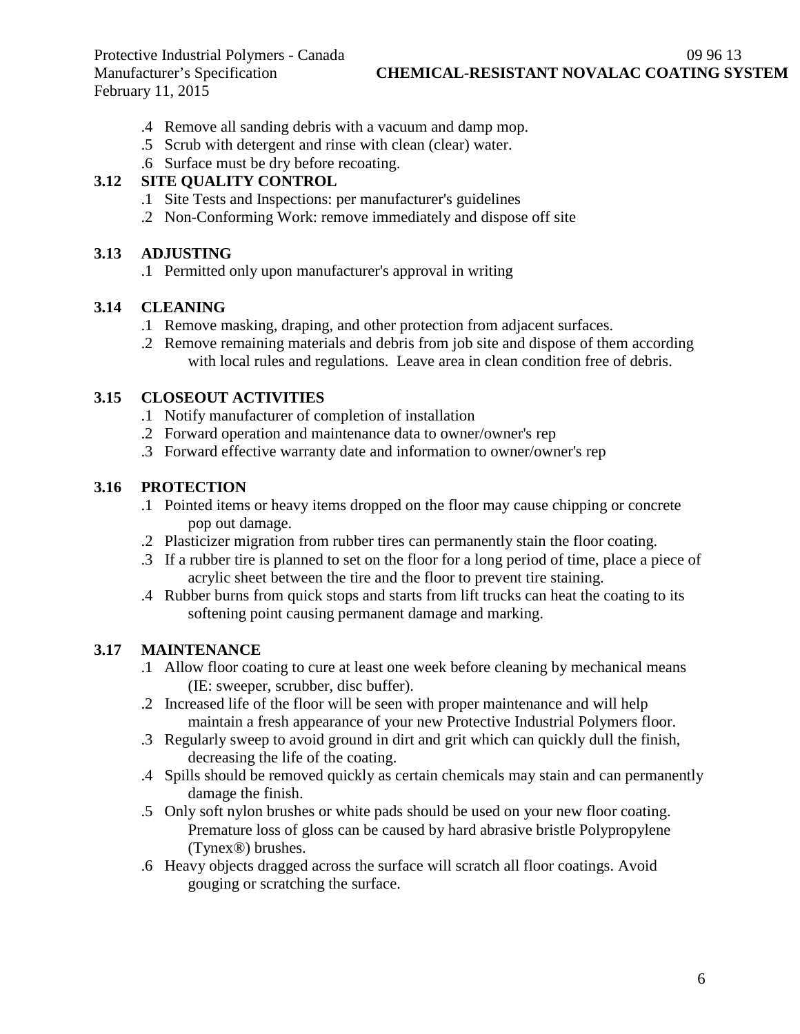Protective Industrial Polymers - Canada (1996)<br>
Manufacturer's Specification (2996) CHEMICAL-RESISTANT NOVALAC COATING SY February 11, 2015

**CHEMICAL-RESISTANT NOVALAC COATING SYSTEM** 

- .4 Remove all sanding debris with a vacuum and damp mop.
- .5 Scrub with detergent and rinse with clean (clear) water.
- .6 Surface must be dry before recoating.

### **3.12 SITE QUALITY CONTROL**

- .1 Site Tests and Inspections: per manufacturer's guidelines
- .2 Non-Conforming Work: remove immediately and dispose off site

### **3.13 ADJUSTING**

.1 Permitted only upon manufacturer's approval in writing

#### **3.14 CLEANING**

- .1 Remove masking, draping, and other protection from adjacent surfaces.
- .2 Remove remaining materials and debris from job site and dispose of them according with local rules and regulations. Leave area in clean condition free of debris.

### **3.15 CLOSEOUT ACTIVITIES**

- .1 Notify manufacturer of completion of installation
- .2 Forward operation and maintenance data to owner/owner's rep
- .3 Forward effective warranty date and information to owner/owner's rep

## **3.16 PROTECTION**

- .1 Pointed items or heavy items dropped on the floor may cause chipping or concrete pop out damage.
- .2 Plasticizer migration from rubber tires can permanently stain the floor coating.
- .3 If a rubber tire is planned to set on the floor for a long period of time, place a piece of acrylic sheet between the tire and the floor to prevent tire staining.
- .4 Rubber burns from quick stops and starts from lift trucks can heat the coating to its softening point causing permanent damage and marking.

## **3.17 MAINTENANCE**

- .1 Allow floor coating to cure at least one week before cleaning by mechanical means (IE: sweeper, scrubber, disc buffer).
- .2 Increased life of the floor will be seen with proper maintenance and will help maintain a fresh appearance of your new Protective Industrial Polymers floor.
- .3 Regularly sweep to avoid ground in dirt and grit which can quickly dull the finish, decreasing the life of the coating.
- .4 Spills should be removed quickly as certain chemicals may stain and can permanently damage the finish.
- .5 Only soft nylon brushes or white pads should be used on your new floor coating. Premature loss of gloss can be caused by hard abrasive bristle Polypropylene (Tynex®) brushes.
- .6 Heavy objects dragged across the surface will scratch all floor coatings. Avoid gouging or scratching the surface.